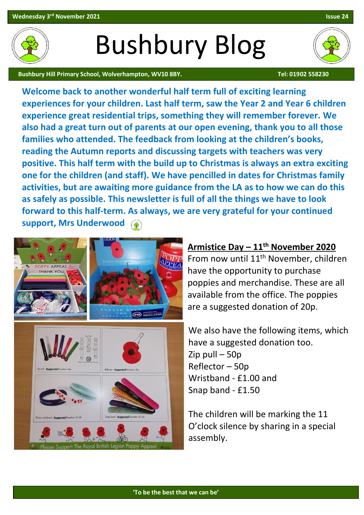**'To be the best that we can be'**

**Armistice Day – 11th November 2020** From now until 11th November, children have the opportunity to purchase poppies and merchandise. These are all available from the office. The poppies

are a suggested donation of 20p.

have a suggested donation too.

The children will be marking the 11

O'clock silence by sharing in a special

Zip pull – 50p Reflector – 50p

assembly.

Wristband - £1.00 and

Snap band - £1.50

We also have the following items, which

**experiences for your children. Last half term, saw the Year 2 and Year 6 children experience great residential trips, something they will remember forever. We also had a great turn out of parents at our open evening, thank you to all those families who attended. The feedback from looking at the children's books, reading the Autumn reports and discussing targets with teachers was very positive. This half term with the build up to Christmas is always an extra exciting one for the children (and staff). We have pencilled in dates for Christmas family activities, but are awaiting more guidance from the LA as to how we can do this as safely as possible. This newsletter is full of all the things we have to look forward to this half-term. As always, we are very grateful for your continued support, Mrs Underwood** 

Bushbury Blog

**Welcome back to another wonderful half term full of exciting learning** 

The Royal British Legion Por





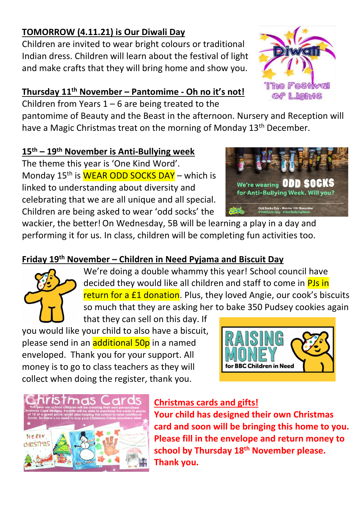### **TOMORROW (4.11.21) is Our Diwali Day**

Children are invited to wear bright colours or traditional Indian dress. Children will learn about the festival of light and make crafts that they will bring home and show you.

## **Thursday 11th November – Pantomime - Oh no it's not!**

Children from Years 1 – 6 are being treated to the

pantomime of Beauty and the Beast in the afternoon. Nursery and Reception will have a Magic Christmas treat on the morning of Monday 13<sup>th</sup> December.

### **15 th – 19th November is Anti-Bullying week**

The theme this year is 'One Kind Word'. Monday 15<sup>th</sup> is **WEAR ODD SOCKS DAY** – which is linked to understanding about diversity and celebrating that we are all unique and all special. Children are being asked to wear 'odd socks' the



wackier, the better!On Wednesday, 5B will be learning a play in a day and performing it for us. In class, children will be completing fun activities too.

# **Friday 19th November – Children in Need Pyjama and Biscuit Day**



We're doing a double whammy this year! School council have decided they would like all children and staff to come in PJs in return for a £1 donation. Plus, they loved Angie, our cook's biscuits so much that they are asking her to bake 350 Pudsey cookies again

that they can sell on this day. If you would like your child to also have a biscuit, please send in an additional 50p in a named enveloped. Thank you for your support. All money is to go to class teachers as they will collect when doing the register, thank you.





### **Christmas cards and gifts!**

**Your child has designed their own Christmas card and soon will be bringing this home to you. Please fill in the envelope and return money to school by Thursday 18th November please. Thank you.** 

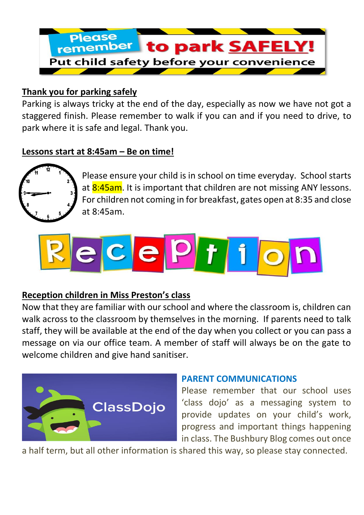

#### **Thank you for parking safely**

Parking is always tricky at the end of the day, especially as now we have not got a staggered finish. Please remember to walk if you can and if you need to drive, to park where it is safe and legal. Thank you.

#### **Lessons start at 8:45am – Be on time!**



Please ensure your child is in school on time everyday. School starts at 8:45am. It is important that children are not missing ANY lessons. For children not coming in for breakfast, gates open at 8:35 and close at 8:45am.



#### **Reception children in Miss Preston's class**

Now that they are familiar with our school and where the classroom is, children can walk across to the classroom by themselves in the morning. If parents need to talk staff, they will be available at the end of the day when you collect or you can pass a message on via our office team. A member of staff will always be on the gate to welcome children and give hand sanitiser.



#### **PARENT COMMUNICATIONS**

Please remember that our school uses 'class dojo' as a messaging system to provide updates on your child's work, progress and important things happening in class. The Bushbury Blog comes out once

a half term, but all other information is shared this way, so please stay connected.